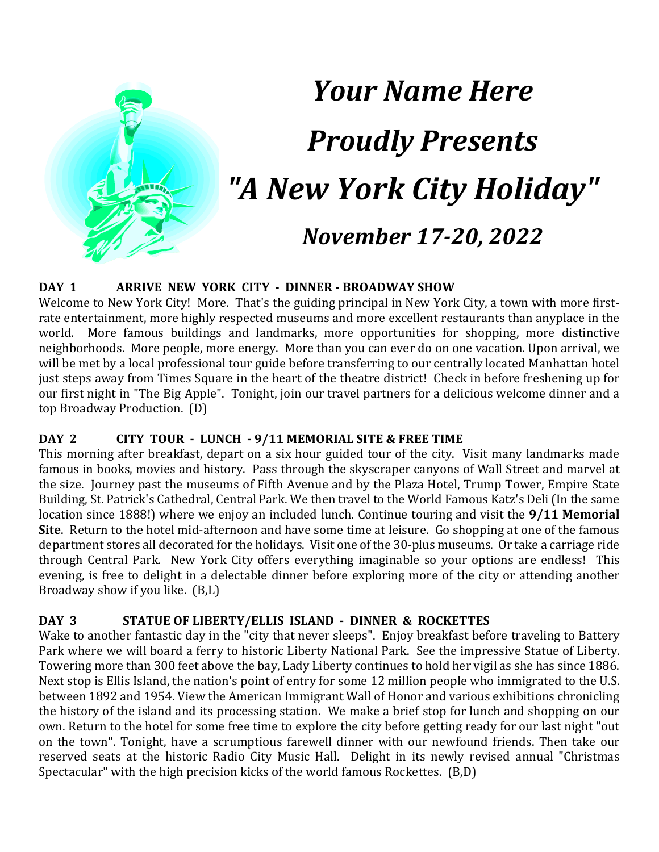

# *Your Name Here Proudly Presents "A New York City Holiday" November 17-20, 2022*

#### **DAY 1 ARRIVE NEW YORK CITY - DINNER - BROADWAY SHOW**

Welcome to New York City! More. That's the guiding principal in New York City, a town with more firstrate entertainment, more highly respected museums and more excellent restaurants than anyplace in the world. More famous buildings and landmarks, more opportunities for shopping, more distinctive neighborhoods. More people, more energy. More than you can ever do on one vacation. Upon arrival, we will be met by a local professional tour guide before transferring to our centrally located Manhattan hotel just steps away from Times Square in the heart of the theatre district! Check in before freshening up for our first night in "The Big Apple". Tonight, join our travel partners for a delicious welcome dinner and a top Broadway Production. (D)

#### **DAY 2 CITY TOUR - LUNCH - 9/11 MEMORIAL SITE & FREE TIME**

This morning after breakfast, depart on a six hour guided tour of the city. Visit many landmarks made famous in books, movies and history. Pass through the skyscraper canyons of Wall Street and marvel at the size. Journey past the museums of Fifth Avenue and by the Plaza Hotel, Trump Tower, Empire State Building, St. Patrick's Cathedral, Central Park. We then travel to the World Famous Katz's Deli (In the same location since 1888!) where we enjoy an included lunch. Continue touring and visit the **9/11 Memorial Site**. Return to the hotel mid-afternoon and have some time at leisure. Go shopping at one of the famous department stores all decorated for the holidays. Visit one of the 30-plus museums. Or take a carriage ride through Central Park. New York City offers everything imaginable so your options are endless! This evening, is free to delight in a delectable dinner before exploring more of the city or attending another Broadway show if you like. (B,L)

#### **DAY 3 STATUE OF LIBERTY/ELLIS ISLAND - DINNER & ROCKETTES**

Wake to another fantastic day in the "city that never sleeps". Enjoy breakfast before traveling to Battery Park where we will board a ferry to historic Liberty National Park. See the impressive Statue of Liberty. Towering more than 300 feet above the bay, Lady Liberty continues to hold her vigil as she has since 1886. Next stop is Ellis Island, the nation's point of entry for some 12 million people who immigrated to the U.S. between 1892 and 1954. View the American Immigrant Wall of Honor and various exhibitions chronicling the history of the island and its processing station. We make a brief stop for lunch and shopping on our own. Return to the hotel for some free time to explore the city before getting ready for our last night "out on the town". Tonight, have a scrumptious farewell dinner with our newfound friends. Then take our reserved seats at the historic Radio City Music Hall. Delight in its newly revised annual "Christmas Spectacular" with the high precision kicks of the world famous Rockettes. (B,D)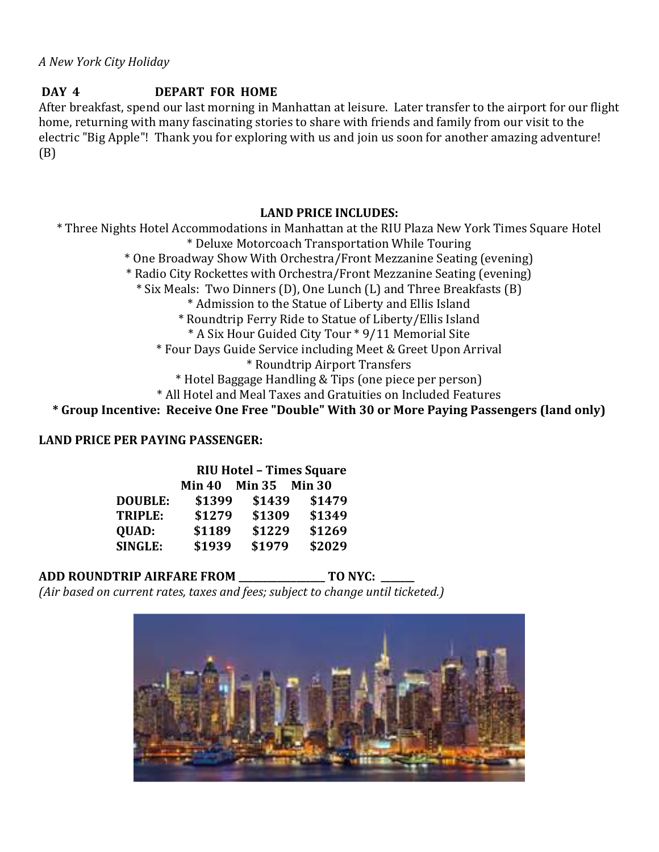#### **DAY 4 DEPART FOR HOME**

After breakfast, spend our last morning in Manhattan at leisure. Later transfer to the airport for our flight home, returning with many fascinating stories to share with friends and family from our visit to the electric "Big Apple"! Thank you for exploring with us and join us soon for another amazing adventure! (B)

#### **LAND PRICE INCLUDES:**

\* Three Nights Hotel Accommodations in Manhattan at the RIU Plaza New York Times Square Hotel \* Deluxe Motorcoach Transportation While Touring \* One Broadway Show With Orchestra/Front Mezzanine Seating (evening) \* Radio City Rockettes with Orchestra/Front Mezzanine Seating (evening) \* Six Meals: Two Dinners (D), One Lunch (L) and Three Breakfasts (B) \* Admission to the Statue of Liberty and Ellis Island \* Roundtrip Ferry Ride to Statue of Liberty/Ellis Island \* A Six Hour Guided City Tour \* 9/11 Memorial Site \* Four Days Guide Service including Meet & Greet Upon Arrival \* Roundtrip Airport Transfers \* Hotel Baggage Handling & Tips (one piece per person) \* All Hotel and Meal Taxes and Gratuities on Included Features **\* Group Incentive: Receive One Free "Double" With 30 or More Paying Passengers (land only)**

#### **LAND PRICE PER PAYING PASSENGER:**

|                | <b>RIU Hotel - Times Square</b> |               |        |
|----------------|---------------------------------|---------------|--------|
|                | <b>Min 40</b>                   | Min 35 Min 30 |        |
| <b>DOUBLE:</b> | \$1399                          | \$1439        | \$1479 |
| TRIPLE:        | \$1279                          | \$1309        | \$1349 |
| QUAD:          | \$1189                          | \$1229        | \$1269 |
| <b>SINGLE:</b> | \$1939                          | \$1979        | \$2029 |

### **ADD ROUNDTRIP AIRFARE FROM \_\_\_\_\_\_\_\_\_\_\_\_\_\_\_\_\_\_ TO NYC: \_\_\_\_\_\_\_**

*(Air based on current rates, taxes and fees; subject to change until ticketed.)*